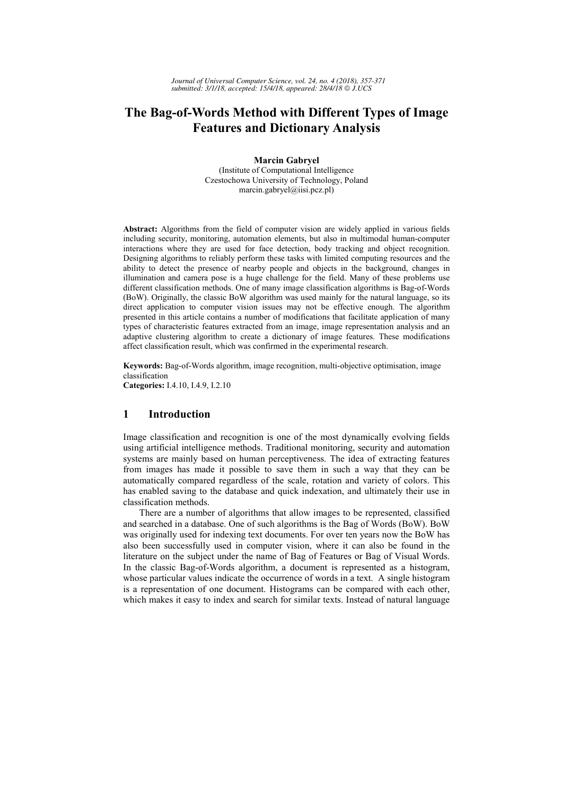# **The Bag-of-Words Method with Different Types of Image Features and Dictionary Analysis**

**Marcin Gabryel**  (Institute of Computational Intelligence Czestochowa University of Technology, Poland marcin.gabryel@iisi.pcz.pl)

**Abstract:** Algorithms from the field of computer vision are widely applied in various fields including security, monitoring, automation elements, but also in multimodal human-computer interactions where they are used for face detection, body tracking and object recognition. Designing algorithms to reliably perform these tasks with limited computing resources and the ability to detect the presence of nearby people and objects in the background, changes in illumination and camera pose is a huge challenge for the field. Many of these problems use different classification methods. One of many image classification algorithms is Bag-of-Words (BoW). Originally, the classic BoW algorithm was used mainly for the natural language, so its direct application to computer vision issues may not be effective enough. The algorithm presented in this article contains a number of modifications that facilitate application of many types of characteristic features extracted from an image, image representation analysis and an adaptive clustering algorithm to create a dictionary of image features. These modifications affect classification result, which was confirmed in the experimental research.

**Keywords:** Bag-of-Words algorithm, image recognition, multi-objective optimisation, image classification **Categories:** I.4.10, I.4.9, I.2.10

## **1 Introduction**

Image classification and recognition is one of the most dynamically evolving fields using artificial intelligence methods. Traditional monitoring, security and automation systems are mainly based on human perceptiveness. The idea of extracting features from images has made it possible to save them in such a way that they can be automatically compared regardless of the scale, rotation and variety of colors. This has enabled saving to the database and quick indexation, and ultimately their use in classification methods.

There are a number of algorithms that allow images to be represented, classified and searched in a database. One of such algorithms is the Bag of Words (BoW). BoW was originally used for indexing text documents. For over ten years now the BoW has also been successfully used in computer vision, where it can also be found in the literature on the subject under the name of Bag of Features or Bag of Visual Words. In the classic Bag-of-Words algorithm, a document is represented as a histogram, whose particular values indicate the occurrence of words in a text. A single histogram is a representation of one document. Histograms can be compared with each other, which makes it easy to index and search for similar texts. Instead of natural language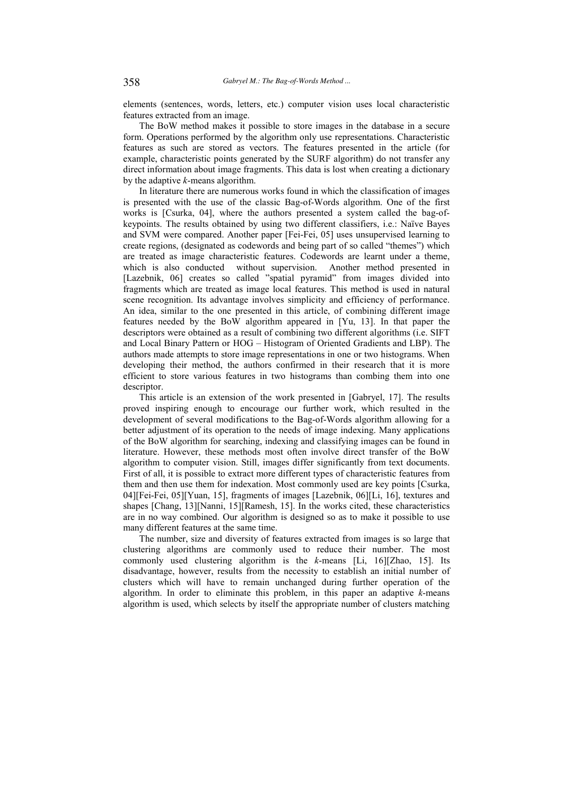elements (sentences, words, letters, etc.) computer vision uses local characteristic features extracted from an image.

The BoW method makes it possible to store images in the database in a secure form. Operations performed by the algorithm only use representations. Characteristic features as such are stored as vectors. The features presented in the article (for example, characteristic points generated by the SURF algorithm) do not transfer any direct information about image fragments. This data is lost when creating a dictionary by the adaptive *k*-means algorithm.

In literature there are numerous works found in which the classification of images is presented with the use of the classic Bag-of-Words algorithm. One of the first works is [Csurka, 04], where the authors presented a system called the bag-ofkeypoints. The results obtained by using two different classifiers, i.e.: Naïve Bayes and SVM were compared. Another paper [Fei-Fei, 05] uses unsupervised learning to create regions, (designated as codewords and being part of so called "themes") which are treated as image characteristic features. Codewords are learnt under a theme, which is also conducted without supervision. Another method presented in [Lazebnik, 06] creates so called "spatial pyramid" from images divided into fragments which are treated as image local features. This method is used in natural scene recognition. Its advantage involves simplicity and efficiency of performance. An idea, similar to the one presented in this article, of combining different image features needed by the BoW algorithm appeared in [Yu, 13]. In that paper the descriptors were obtained as a result of combining two different algorithms (i.e. SIFT and Local Binary Pattern or HOG – Histogram of Oriented Gradients and LBP). The authors made attempts to store image representations in one or two histograms. When developing their method, the authors confirmed in their research that it is more efficient to store various features in two histograms than combing them into one descriptor.

This article is an extension of the work presented in [Gabryel, 17]. The results proved inspiring enough to encourage our further work, which resulted in the development of several modifications to the Bag-of-Words algorithm allowing for a better adjustment of its operation to the needs of image indexing. Many applications of the BoW algorithm for searching, indexing and classifying images can be found in literature. However, these methods most often involve direct transfer of the BoW algorithm to computer vision. Still, images differ significantly from text documents. First of all, it is possible to extract more different types of characteristic features from them and then use them for indexation. Most commonly used are key points [Csurka, 04][Fei-Fei, 05][Yuan, 15], fragments of images [Lazebnik, 06][Li, 16], textures and shapes [Chang, 13][Nanni, 15][Ramesh, 15]. In the works cited, these characteristics are in no way combined. Our algorithm is designed so as to make it possible to use many different features at the same time.

The number, size and diversity of features extracted from images is so large that clustering algorithms are commonly used to reduce their number. The most commonly used clustering algorithm is the *k*-means [Li, 16][Zhao, 15]. Its disadvantage, however, results from the necessity to establish an initial number of clusters which will have to remain unchanged during further operation of the algorithm. In order to eliminate this problem, in this paper an adaptive *k*-means algorithm is used, which selects by itself the appropriate number of clusters matching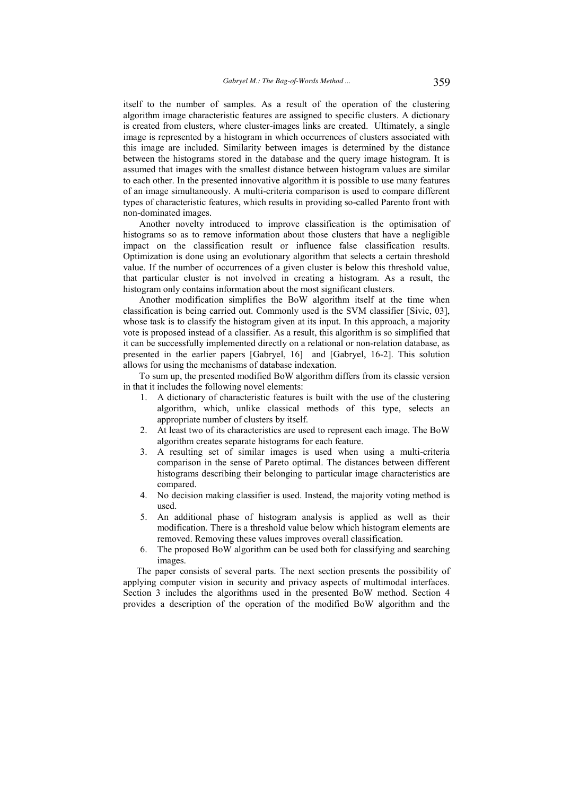itself to the number of samples. As a result of the operation of the clustering algorithm image characteristic features are assigned to specific clusters. A dictionary is created from clusters, where cluster-images links are created. Ultimately, a single image is represented by a histogram in which occurrences of clusters associated with this image are included. Similarity between images is determined by the distance between the histograms stored in the database and the query image histogram. It is assumed that images with the smallest distance between histogram values are similar to each other. In the presented innovative algorithm it is possible to use many features of an image simultaneously. A multi-criteria comparison is used to compare different types of characteristic features, which results in providing so-called Parento front with non-dominated images.

Another novelty introduced to improve classification is the optimisation of histograms so as to remove information about those clusters that have a negligible impact on the classification result or influence false classification results. Optimization is done using an evolutionary algorithm that selects a certain threshold value. If the number of occurrences of a given cluster is below this threshold value, that particular cluster is not involved in creating a histogram. As a result, the histogram only contains information about the most significant clusters.

Another modification simplifies the BoW algorithm itself at the time when classification is being carried out. Commonly used is the SVM classifier [Sivic, 03], whose task is to classify the histogram given at its input. In this approach, a majority vote is proposed instead of a classifier. As a result, this algorithm is so simplified that it can be successfully implemented directly on a relational or non-relation database, as presented in the earlier papers [Gabryel, 16] and [Gabryel, 16-2]. This solution allows for using the mechanisms of database indexation.

To sum up, the presented modified BoW algorithm differs from its classic version in that it includes the following novel elements:

- 1. A dictionary of characteristic features is built with the use of the clustering algorithm, which, unlike classical methods of this type, selects an appropriate number of clusters by itself.
- 2. At least two of its characteristics are used to represent each image. The BoW algorithm creates separate histograms for each feature.
- 3. A resulting set of similar images is used when using a multi-criteria comparison in the sense of Pareto optimal. The distances between different histograms describing their belonging to particular image characteristics are compared.
- 4. No decision making classifier is used. Instead, the majority voting method is used.
- 5. An additional phase of histogram analysis is applied as well as their modification. There is a threshold value below which histogram elements are removed. Removing these values improves overall classification.
- 6. The proposed BoW algorithm can be used both for classifying and searching images.

The paper consists of several parts. The next section presents the possibility of applying computer vision in security and privacy aspects of multimodal interfaces. Section 3 includes the algorithms used in the presented BoW method. Section 4 provides a description of the operation of the modified BoW algorithm and the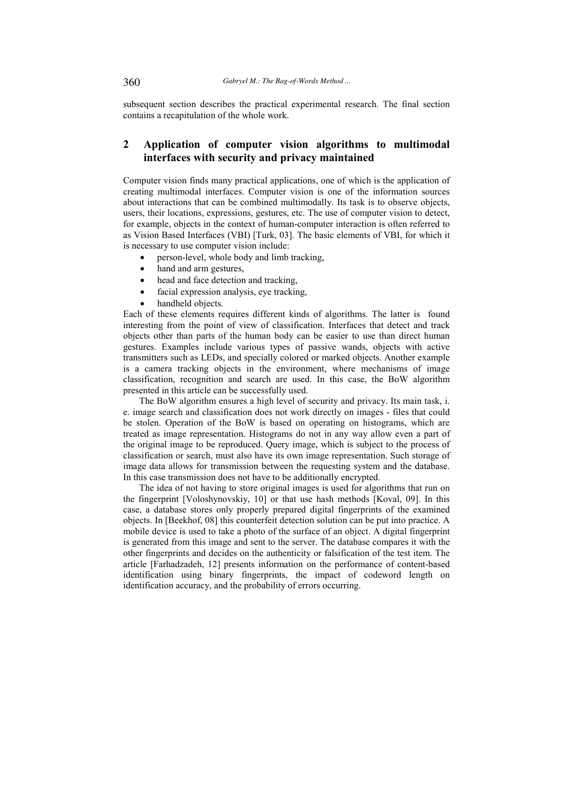subsequent section describes the practical experimental research. The final section contains a recapitulation of the whole work.

# **2 Application of computer vision algorithms to multimodal interfaces with security and privacy maintained**

Computer vision finds many practical applications, one of which is the application of creating multimodal interfaces. Computer vision is one of the information sources about interactions that can be combined multimodally. Its task is to observe objects, users, their locations, expressions, gestures, etc. The use of computer vision to detect, for example, objects in the context of human-computer interaction is often referred to as Vision Based Interfaces (VBI) [Turk, 03]. The basic elements of VBI, for which it is necessary to use computer vision include:

- person-level, whole body and limb tracking,
- hand and arm gestures,
- head and face detection and tracking.
- facial expression analysis, eye tracking,
- handheld objects.

Each of these elements requires different kinds of algorithms. The latter is found interesting from the point of view of classification. Interfaces that detect and track objects other than parts of the human body can be easier to use than direct human gestures. Examples include various types of passive wands, objects with active transmitters such as LEDs, and specially colored or marked objects. Another example is a camera tracking objects in the environment, where mechanisms of image classification, recognition and search are used. In this case, the BoW algorithm presented in this article can be successfully used.

The BoW algorithm ensures a high level of security and privacy. Its main task, i. e. image search and classification does not work directly on images - files that could be stolen. Operation of the BoW is based on operating on histograms, which are treated as image representation. Histograms do not in any way allow even a part of the original image to be reproduced. Query image, which is subject to the process of classification or search, must also have its own image representation. Such storage of image data allows for transmission between the requesting system and the database. In this case transmission does not have to be additionally encrypted.

The idea of not having to store original images is used for algorithms that run on the fingerprint [Voloshynovskiy, 10] or that use hash methods [Koval, 09]. In this case, a database stores only properly prepared digital fingerprints of the examined objects. In [Beekhof, 08] this counterfeit detection solution can be put into practice. A mobile device is used to take a photo of the surface of an object. A digital fingerprint is generated from this image and sent to the server. The database compares it with the other fingerprints and decides on the authenticity or falsification of the test item. The article [Farhadzadeh, 12] presents information on the performance of content-based identification using binary fingerprints, the impact of codeword length on identification accuracy, and the probability of errors occurring.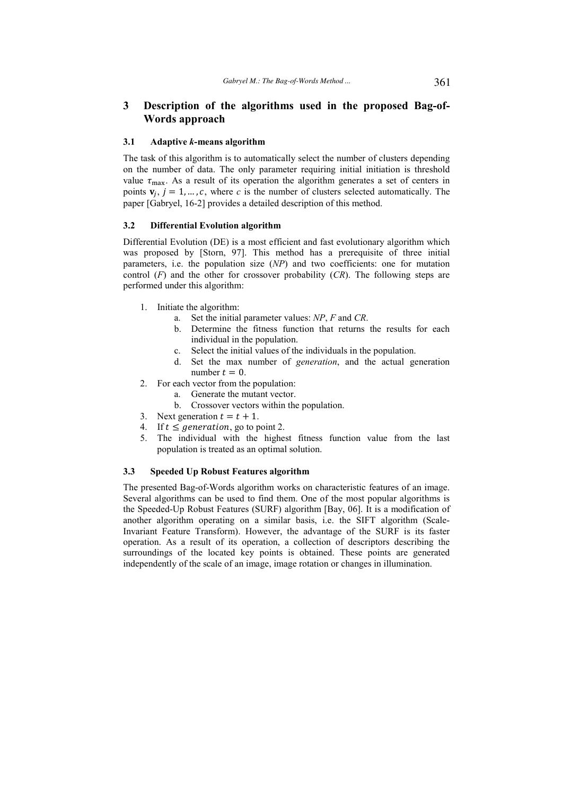# **3 Description of the algorithms used in the proposed Bag-of-Words approach**

#### **3.1 Adaptive** *k***-means algorithm**

The task of this algorithm is to automatically select the number of clusters depending on the number of data. The only parameter requiring initial initiation is threshold value  $\tau_{\text{max}}$ . As a result of its operation the algorithm generates a set of centers in points  $\mathbf{v}_j$ ,  $j = 1, \dots, c$ , where *c* is the number of clusters selected automatically. The paper [Gabryel, 16-2] provides a detailed description of this method.

### **3.2 Differential Evolution algorithm**

Differential Evolution (DE) is a most efficient and fast evolutionary algorithm which was proposed by [Storn, 97]. This method has a prerequisite of three initial parameters, i.e. the population size (*NP*) and two coefficients: one for mutation control (*F*) and the other for crossover probability (*CR*). The following steps are performed under this algorithm:

- 1. Initiate the algorithm:
	- a. Set the initial parameter values: *NP*, *F* and *CR*.
	- b. Determine the fitness function that returns the results for each individual in the population.
	- c. Select the initial values of the individuals in the population.
	- d. Set the max number of *generation*, and the actual generation number  $t = 0$ .
- 2. For each vector from the population:
	- a. Generate the mutant vector.
		- b. Crossover vectors within the population.
- 3. Next generation  $t = t + 1$ .
- 4. If  $t \leq$  generation, go to point 2.
- 5. The individual with the highest fitness function value from the last population is treated as an optimal solution.

#### **3.3 Speeded Up Robust Features algorithm**

The presented Bag-of-Words algorithm works on characteristic features of an image. Several algorithms can be used to find them. One of the most popular algorithms is the Speeded-Up Robust Features (SURF) algorithm [Bay, 06]. It is a modification of another algorithm operating on a similar basis, i.e. the SIFT algorithm (Scale-Invariant Feature Transform). However, the advantage of the SURF is its faster operation. As a result of its operation, a collection of descriptors describing the surroundings of the located key points is obtained. These points are generated independently of the scale of an image, image rotation or changes in illumination.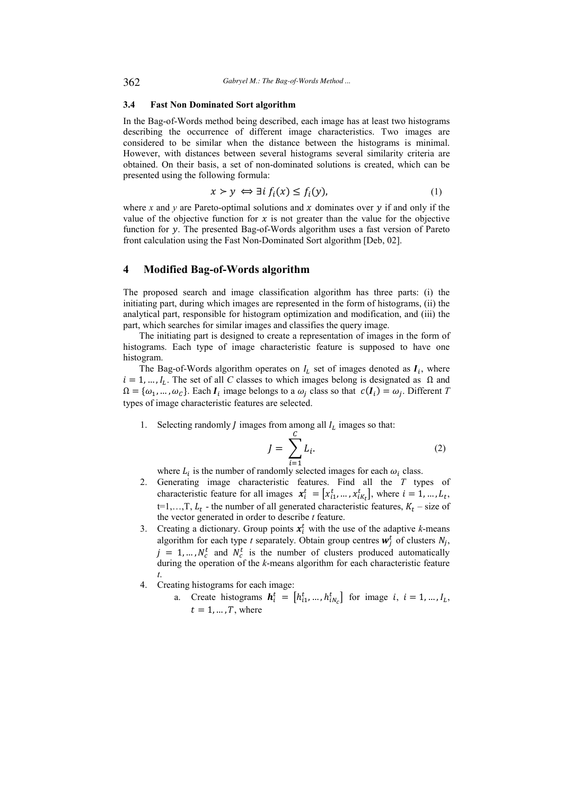### **3.4 Fast Non Dominated Sort algorithm**

In the Bag-of-Words method being described, each image has at least two histograms describing the occurrence of different image characteristics. Two images are considered to be similar when the distance between the histograms is minimal. However, with distances between several histograms several similarity criteria are obtained. On their basis, a set of non-dominated solutions is created, which can be presented using the following formula:

$$
x \succ y \iff \exists i \, f_i(x) \le f_i(y), \tag{1}
$$

where x and y are Pareto-optimal solutions and x dominates over y if and only if the value of the objective function for  $x$  is not greater than the value for the objective function for y. The presented Bag-of-Words algorithm uses a fast version of Pareto front calculation using the Fast Non-Dominated Sort algorithm [Deb, 02].

## **4 Modified Bag-of-Words algorithm**

The proposed search and image classification algorithm has three parts: (i) the initiating part, during which images are represented in the form of histograms, (ii) the analytical part, responsible for histogram optimization and modification, and (iii) the part, which searches for similar images and classifies the query image.

The initiating part is designed to create a representation of images in the form of histograms. Each type of image characteristic feature is supposed to have one histogram.

The Bag-of-Words algorithm operates on  $I_L$  set of images denoted as  $I_i$ , where  $i = 1, ..., I_L$ . The set of all *C* classes to which images belong is designated as  $\Omega$  and  $\Omega = {\omega_1, ..., \omega_C}$ . Each  $I_i$  image belongs to a  $\omega_j$  class so that  $c(I_i) = \omega_j$ . Different *T* types of image characteristic features are selected.

1. Selecting randomly *J* images from among all  $I_L$  images so that:

$$
J = \sum_{i=1}^{C} L_i.
$$
 (2)

where  $L_i$  is the number of randomly selected images for each  $\omega_i$  class.

- 2. Generating image characteristic features. Find all the *T* types of characteristic feature for all images  $\mathbf{x}_i^t = [x_{i1}^t, ..., x_{iK_t}^t]$ , where  $i = 1, ..., L_t$ ,  $t=1,...,T$ ,  $L_t$  - the number of all generated characteristic features,  $K_t$  – size of the vector generated in order to describe *t* feature.
- 3. Creating a dictionary. Group points  $x_i^t$  with the use of the adaptive *k*-means algorithm for each type *t* separately. Obtain group centres  $w_j^t$  of clusters  $N_j$ ,  $j = 1, ..., N_c^t$  and  $N_c^t$  is the number of clusters produced automatically during the operation of the *k*-means algorithm for each characteristic feature *t*.
- 4. Creating histograms for each image:
	- a. Create histograms  $h_i^t = [h_{i1}^t, ..., h_{iN_c}^t]$  for image  $i, i = 1, ..., I_L$ ,  $t = 1, \dots, T$ , where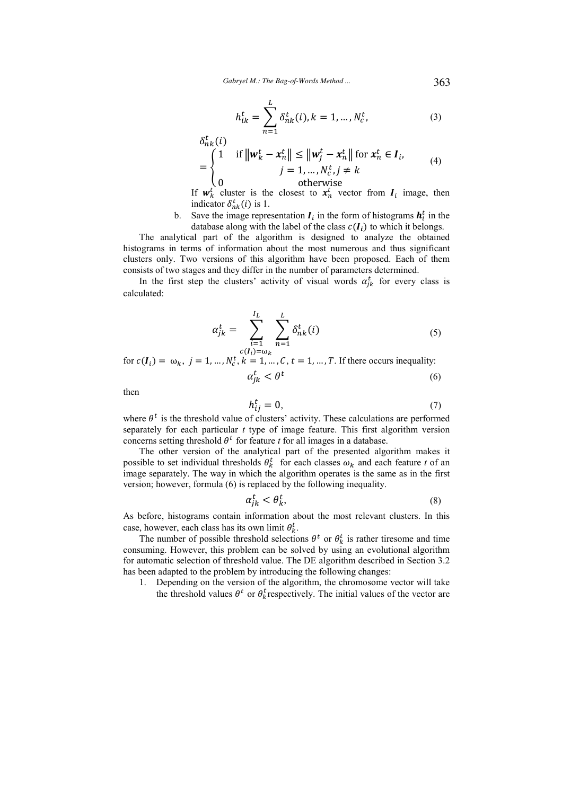$$
h_{ik}^{t} = \sum_{n=1}^{L} \delta_{nk}^{t}(i), k = 1, ..., N_{c}^{t},
$$
 (3)

$$
\delta_{nk}^t(i)
$$
\n
$$
= \begin{cases}\n1 & \text{if } \|\mathbf{w}_k^t - \mathbf{x}_n^t\| \le \|\mathbf{w}_j^t - \mathbf{x}_n^t\| \text{ for } \mathbf{x}_n^t \in I_i, \\
j = 1, ..., N_c^t, j \ne k\n\end{cases}
$$
\n
$$
(4)
$$
\n
$$
\text{otherwise}
$$

If  $w_k^t$  cluster is the closest to  $x_n^t$  vector from  $I_i$  image, then indicator  $\delta_{nk}^t(i)$  is 1.

b. Save the image representation  $I_i$  in the form of histograms  $h_i^t$  in the database along with the label of the class  $c(I_i)$  to which it belongs.

The analytical part of the algorithm is designed to analyze the obtained histograms in terms of information about the most numerous and thus significant clusters only. Two versions of this algorithm have been proposed. Each of them consists of two stages and they differ in the number of parameters determined.

In the first step the clusters' activity of visual words  $\alpha_{jk}^t$  for every class is calculated:

$$
\alpha_{jk}^{t} = \sum_{\substack{i=1 \ c(I_i) = \omega_k}}^{I_L} \sum_{n=1}^{L} \delta_{nk}^{t}(i)
$$
\n(5)

for  $c(I_i) = \omega_k$ ,  $j = 1, ..., N_c^t$ ,  $k = 1, ..., C$ ,  $t = 1, ..., T$ . If there occurs inequality:  $\alpha_{jk}^t < \theta^t$ (6)

then

$$
h_{ij}^t = 0,\t\t(7)
$$

where  $\theta^t$  is the threshold value of clusters' activity. These calculations are performed separately for each particular *t* type of image feature. This first algorithm version concerns setting threshold  $\theta^t$  for feature *t* for all images in a database.

The other version of the analytical part of the presented algorithm makes it possible to set individual thresholds  $\theta_k^t$  for each classes  $\omega_k$  and each feature *t* of an image separately. The way in which the algorithm operates is the same as in the first version; however, formula (6) is replaced by the following inequality.

$$
\alpha_{jk}^t < \theta_k^t,\tag{8}
$$

As before, histograms contain information about the most relevant clusters. In this case, however, each class has its own limit  $\theta_k^t$ .

The number of possible threshold selections  $\theta^t$  or  $\theta^t_k$  is rather tiresome and time consuming. However, this problem can be solved by using an evolutional algorithm for automatic selection of threshold value. The DE algorithm described in Section 3.2 has been adapted to the problem by introducing the following changes:

1. Depending on the version of the algorithm, the chromosome vector will take the threshold values  $\theta^t$  or  $\theta^t_k$  respectively. The initial values of the vector are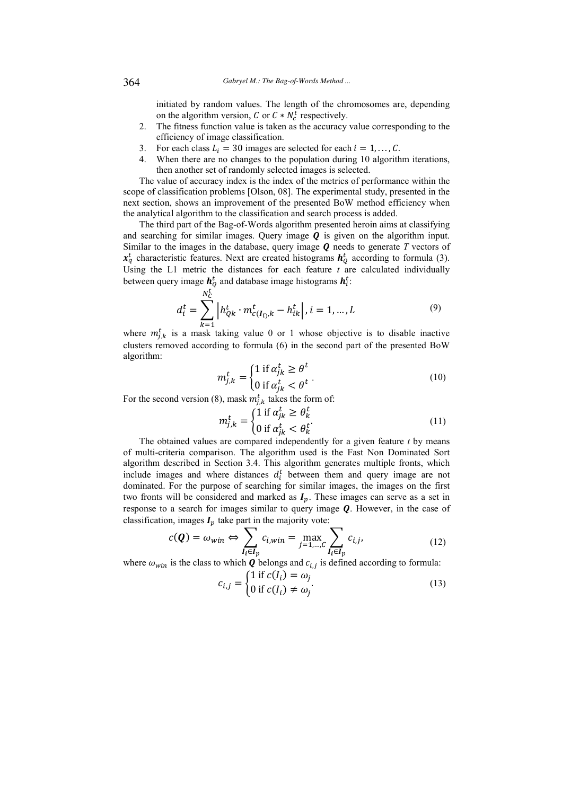initiated by random values. The length of the chromosomes are, depending on the algorithm version, C or  $C * N_c^t$  respectively.

- 2. The fitness function value is taken as the accuracy value corresponding to the efficiency of image classification.
- 3. For each class  $L_i = 30$  images are selected for each  $i = 1, \dots, C$ .<br>4. When there are no changes to the population during 10 algorith
- When there are no changes to the population during 10 algorithm iterations, then another set of randomly selected images is selected.

The value of accuracy index is the index of the metrics of performance within the scope of classification problems [Olson, 08]. The experimental study, presented in the next section, shows an improvement of the presented BoW method efficiency when the analytical algorithm to the classification and search process is added.

The third part of the Bag-of-Words algorithm presented heroin aims at classifying and searching for similar images. Query image  $\boldsymbol{0}$  is given on the algorithm input. Similar to the images in the database, query image  *needs to generate*  $*T*$  *vectors of*  $x_q^t$  characteristic features. Next are created histograms  $h_Q^t$  according to formula (3). Using the L1 metric the distances for each feature *t* are calculated individually between query image  $h_Q^t$  and database image histograms  $h_i^t$ :

$$
d_i^t = \sum_{k=1}^{N_C^t} \left| h_{Qk}^t \cdot m_{c(I_{i}),k}^t - h_{ik}^t \right|, i = 1, \dots, L \tag{9}
$$

where  $m_{j,k}^{t}$  is a mask taking value 0 or 1 whose objective is to disable inactive clusters removed according to formula (6) in the second part of the presented BoW algorithm:

$$
m_{j,k}^t = \begin{cases} 1 \text{ if } \alpha_{jk}^t \ge \theta^t \\ 0 \text{ if } \alpha_{jk}^t < \theta^t \end{cases} \tag{10}
$$

For the second version (8), mask  $m_{j,k}^t$  takes the form of:

$$
m_{j,k}^t = \begin{cases} 1 \text{ if } \alpha_{jk}^t \ge \theta_k^t \\ 0 \text{ if } \alpha_{jk}^t < \theta_k^t \end{cases} \tag{11}
$$

The obtained values are compared independently for a given feature *t* by means of multi-criteria comparison. The algorithm used is the Fast Non Dominated Sort algorithm described in Section 3.4. This algorithm generates multiple fronts, which include images and where distances  $d_i^t$  between them and query image are not dominated. For the purpose of searching for similar images, the images on the first two fronts will be considered and marked as  $I_p$ . These images can serve as a set in response to a search for images similar to query image  $Q$ . However, in the case of classification, images  $I_p$  take part in the majority vote:

$$
c(\mathbf{Q}) = \omega_{win} \Leftrightarrow \sum_{I_i \in I_p} c_{i,win} = \max_{j=1,\dots,C} \sum_{I_i \in I_p} c_{i,j},
$$
\n(12)

where  $\omega_{win}$  is the class to which **Q** belongs and  $c_{i,j}$  is defined according to formula:

$$
c_{i,j} = \begin{cases} 1 \text{ if } c(l_i) = \omega_j \\ 0 \text{ if } c(l_i) \neq \omega_j \end{cases}
$$
(13)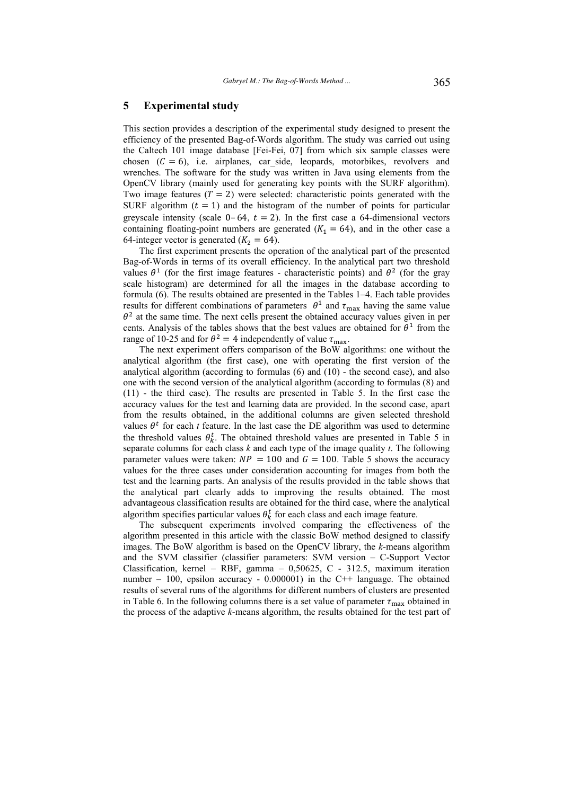## **5 Experimental study**

This section provides a description of the experimental study designed to present the efficiency of the presented Bag-of-Words algorithm. The study was carried out using the Caltech 101 image database [Fei-Fei, 07] from which six sample classes were chosen  $(C = 6)$ , i.e. airplanes, car side, leopards, motorbikes, revolvers and wrenches. The software for the study was written in Java using elements from the OpenCV library (mainly used for generating key points with the SURF algorithm). Two image features  $(T = 2)$  were selected: characteristic points generated with the SURF algorithm  $(t = 1)$  and the histogram of the number of points for particular greyscale intensity (scale  $0-64$ ,  $t = 2$ ). In the first case a 64-dimensional vectors containing floating-point numbers are generated  $(K_1 = 64)$ , and in the other case a 64-integer vector is generated  $(K_2 = 64)$ .

The first experiment presents the operation of the analytical part of the presented Bag-of-Words in terms of its overall efficiency. In the analytical part two threshold values  $\theta^1$  (for the first image features - characteristic points) and  $\theta^2$  (for the gray scale histogram) are determined for all the images in the database according to formula (6). The results obtained are presented in the Tables 1–4. Each table provides results for different combinations of parameters  $\theta^1$  and  $\tau_{\text{max}}$  having the same value  $\theta^2$  at the same time. The next cells present the obtained accuracy values given in per cents. Analysis of the tables shows that the best values are obtained for  $\theta^1$  from the range of 10-25 and for  $\theta^2 = 4$  independently of value  $\tau_{\text{max}}$ .

The next experiment offers comparison of the BoW algorithms: one without the analytical algorithm (the first case), one with operating the first version of the analytical algorithm (according to formulas (6) and (10) - the second case), and also one with the second version of the analytical algorithm (according to formulas (8) and (11) - the third case). The results are presented in Table 5. In the first case the accuracy values for the test and learning data are provided. In the second case, apart from the results obtained, in the additional columns are given selected threshold values  $\theta^t$  for each *t* feature. In the last case the DE algorithm was used to determine the threshold values  $\theta_k^t$ . The obtained threshold values are presented in Table 5 in separate columns for each class *k* and each type of the image quality *t*. The following parameter values were taken:  $NP = 100$  and  $G = 100$ . Table 5 shows the accuracy values for the three cases under consideration accounting for images from both the test and the learning parts. An analysis of the results provided in the table shows that the analytical part clearly adds to improving the results obtained. The most advantageous classification results are obtained for the third case, where the analytical algorithm specifies particular values  $\theta_k^t$  for each class and each image feature.

The subsequent experiments involved comparing the effectiveness of the algorithm presented in this article with the classic BoW method designed to classify images. The BoW algorithm is based on the OpenCV library, the *k*-means algorithm and the SVM classifier (classifier parameters: SVM version – C-Support Vector Classification, kernel – RBF, gamma –  $0,50625$ , C - 312.5, maximum iteration number – 100, epsilon accuracy - 0.000001) in the C++ language. The obtained results of several runs of the algorithms for different numbers of clusters are presented in Table 6. In the following columns there is a set value of parameter  $\tau_{\text{max}}$  obtained in the process of the adaptive *k*-means algorithm, the results obtained for the test part of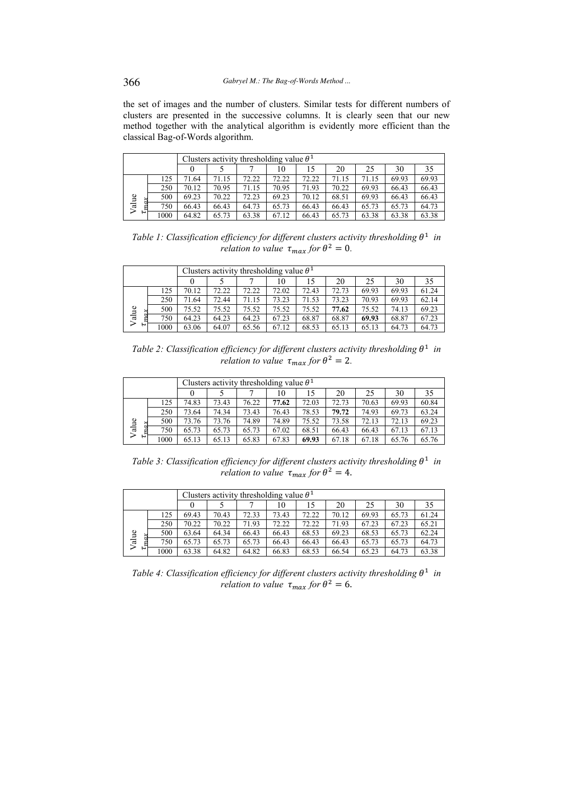the set of images and the number of clusters. Similar tests for different numbers of clusters are presented in the successive columns. It is clearly seen that our new method together with the analytical algorithm is evidently more efficient than the classical Bag-of-Words algorithm.

|       |     | Clusters activity thresholding value $\theta^1$ |       |       |       |       |       |       |       |       |  |  |
|-------|-----|-------------------------------------------------|-------|-------|-------|-------|-------|-------|-------|-------|--|--|
|       |     |                                                 |       |       | 10    | 15    | 20    | 25    | 30    | 35    |  |  |
|       | 125 | 71.64                                           | 71.15 | 72.22 | 72.22 | 72.22 | 71.15 | 71.15 | 69.93 | 69.93 |  |  |
| Value | 250 | 70.12                                           | 70.95 | 71.15 | 70.95 | 71.93 | 70.22 | 69.93 | 66.43 | 66.43 |  |  |
|       | 500 | 69.23                                           | 70.22 | 72.23 | 69.23 | 70.12 | 68.51 | 69.93 | 66.43 | 66.43 |  |  |
|       | 750 | 66.43                                           | 66.43 | 64.73 | 65.73 | 66.43 | 66.43 | 65.73 | 65.73 | 64.73 |  |  |
| P     | 000 | 64.82                                           | 65.73 | 63.38 | 67.12 | 66.43 | 65.73 | 63.38 | 63.38 | 63.38 |  |  |

Table 1: Classification efficiency for different clusters activity thresholding  $\theta^1$  in *relation to value*  $\tau_{max}$  *for*  $\theta^2 = 0$ *.* 

|       |     | Clusters activity thresholding value $\theta^1$ |       |       |       |       |       |       |       |       |  |  |
|-------|-----|-------------------------------------------------|-------|-------|-------|-------|-------|-------|-------|-------|--|--|
|       |     |                                                 |       |       | 10    | 15    | 20    | 25    | 30    | 35    |  |  |
|       | 125 | 70.12                                           | 72.22 | 72.22 | 72.02 | 72.43 | 72.73 | 69.93 | 69.93 | 61.24 |  |  |
| Value | 250 | 71.64                                           | 72.44 | 71.15 | 73.23 | 71.53 | 73.23 | 70.93 | 69.93 | 62.14 |  |  |
|       | 500 | 75.52                                           | 75.52 | 75.52 | 75.52 | 75.52 | 77.62 | 75.52 | 74.13 | 69.23 |  |  |
|       | 750 | 64.23                                           | 64.23 | 64.23 | 67.23 | 68.87 | 68.87 | 69.93 | 68.87 | 67.23 |  |  |
| ⊢     | 000 | 63.06                                           | 64.07 | 65.56 | 67.12 | 68.53 | 65.13 | 65.13 | 64.73 | 64.73 |  |  |

Table 2: Classification efficiency for different clusters activity thresholding  $\theta^1$  in *relation to value*  $\tau_{max}$  *for*  $\theta^2 = 2$ *.* 

|       |      | Clusters activity thresholding value $\theta^1$ |       |       |       |       |       |       |       |       |  |  |
|-------|------|-------------------------------------------------|-------|-------|-------|-------|-------|-------|-------|-------|--|--|
|       |      |                                                 |       |       | 10    | 15    | 20    | 25    | 30    | 35    |  |  |
|       | 125  | 74.83                                           | 73.43 | 76.22 | 77.62 | 72.03 | 72.73 | 70.63 | 69.93 | 60.84 |  |  |
|       | 250  | 73.64                                           | 74.34 | 73.43 | 76.43 | 78.53 | 79.72 | 74.93 | 69.73 | 63.24 |  |  |
|       | 500  | 73.76                                           | 73.76 | 74.89 | 74.89 | 75.52 | 73.58 | 72.13 | 72.13 | 69.23 |  |  |
| Value | 750  | 65.73                                           | 65.73 | 65.73 | 67.02 | 68.51 | 66.43 | 66.43 | 67.13 | 67.13 |  |  |
| ⊢     | 1000 | 65.13                                           | 65.13 | 65.83 | 67.83 | 69.93 | 67.18 | 67.18 | 65.76 | 65.76 |  |  |

Table 3: Classification efficiency for different clusters activity thresholding  $\theta^1$  in *relation to value*  $\tau_{max}$  *for*  $\theta^2 = 4$ .

|       |      | Clusters activity thresholding value $\theta^1$ |       |       |       |       |       |       |       |       |  |  |
|-------|------|-------------------------------------------------|-------|-------|-------|-------|-------|-------|-------|-------|--|--|
|       |      |                                                 |       |       | 10    | 15    | 20    | 25    | 30    | 35    |  |  |
|       | 125  | 69.43                                           | 70.43 | 72.33 | 73.43 | 72.22 | 70.12 | 69.93 | 65.73 | 61.24 |  |  |
| Value | 250  | 70.22                                           | 70.22 | 71.93 | 72.22 | 72.22 | 71.93 | 67.23 | 67.23 | 65.21 |  |  |
|       | 500  | 63.64                                           | 64.34 | 66.43 | 66.43 | 68.53 | 69.23 | 68.53 | 65.73 | 62.24 |  |  |
|       | 750  | 65.73                                           | 65.73 | 65.73 | 66.43 | 66.43 | 66.43 | 65.73 | 65.73 | 64.73 |  |  |
| نـا   | 1000 | 63.38                                           | 64.82 | 64.82 | 66.83 | 68.53 | 66.54 | 65.23 | 64.73 | 63.38 |  |  |

Table 4: Classification efficiency for different clusters activity thresholding  $\theta^1$  in *relation to value*  $\tau_{max}$  *for*  $\theta^2 = 6$ .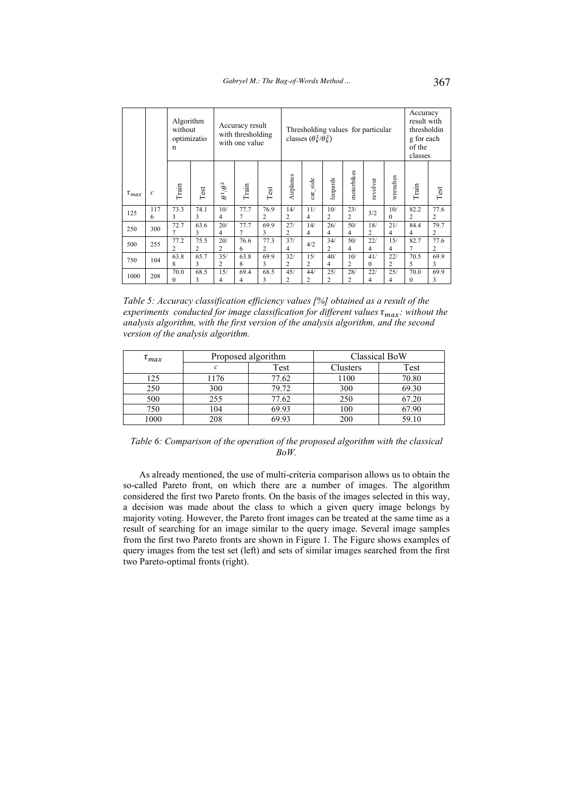|              |               | Algorithm<br>without<br>optimizatio<br>n |           |                       | Accuracy result<br>with thresholding<br>with one value |                        |                       | Thresholding values for particular<br>classes $(\theta_k^1/\theta_k^2)$ |                       |                       |                 |                       | Accuracy<br>result with<br>thresholdin<br>g for each<br>of the<br>classes |           |
|--------------|---------------|------------------------------------------|-----------|-----------------------|--------------------------------------------------------|------------------------|-----------------------|-------------------------------------------------------------------------|-----------------------|-----------------------|-----------------|-----------------------|---------------------------------------------------------------------------|-----------|
| $\tau_{max}$ | $\mathcal{C}$ | Train                                    | Test      | $\theta^1/\theta^2$   | Train                                                  | Test                   | Airplanes             | side<br>$at$                                                            | leopards              | motorbikes            | revolver        | wrenches              | Train                                                                     | Test      |
| 125          | 117<br>6      | 73.3<br>3                                | 74.1<br>3 | 10/<br>4              | 77.7<br>7                                              | 76.9<br>2              | 14/<br>2              | 11/<br>4                                                                | 10/<br>$\overline{c}$ | 23/<br>$\overline{c}$ | 3/2             | 10/<br>$\Omega$       | 82.2<br>2                                                                 | 77.6<br>2 |
| 250          | 300           | 72.7                                     | 63.6<br>3 | 20/<br>4              | 77.7<br>7                                              | 69.9<br>3              | 27/<br>2              | 14/<br>4                                                                | 26/<br>4              | 50/<br>4              | 18/<br>2        | 21/<br>4              | 84.4<br>4                                                                 | 79.7<br>2 |
| 500          | 255           | 77.2<br>2                                | 75.5<br>2 | 20/<br>$\overline{c}$ | 76.6<br>6                                              | 77.3<br>$\overline{c}$ | 37/<br>$\overline{4}$ | 4/2                                                                     | 34/<br>$\overline{c}$ | 50/<br>4              | 22/<br>4        | 15/<br>4              | 82.7<br>7                                                                 | 77.6<br>2 |
| 750          | 104           | 63.8<br>8                                | 65.7<br>3 | 35/<br>$\overline{2}$ | 63.8<br>8                                              | 69.9<br>3              | 32/<br>2              | 15/<br>2                                                                | 40/<br>4              | 10/<br>2              | 41/<br>$\theta$ | 22/<br>$\overline{c}$ | 70.5<br>5                                                                 | 69.9<br>3 |
| 1000         | 208           | 70.0<br>0                                | 68.5<br>3 | 15/<br>4              | 69.4<br>4                                              | 68.5<br>3              | 45/<br>2              | 44/<br>2                                                                | 25/<br>2              | 28/<br>2              | 22/<br>4        | 25/<br>4              | 70.0<br>0                                                                 | 69.9<br>3 |

*Table 5: Accuracy classification efficiency values [%] obtained as a result of the experiments conducted for image classification for different values*  $\tau_{max}$ : without the *analysis algorithm, with the first version of the analysis algorithm, and the second version of the analysis algorithm.* 

| $\tau_{max}$ |      | Proposed algorithm | Classical BoW |       |  |  |
|--------------|------|--------------------|---------------|-------|--|--|
|              |      | Test               | Clusters      | Test  |  |  |
| 125          | 1176 | 77.62              | 1100          | 70.80 |  |  |
| 250          | 300  | 79.72              | 300           | 69.30 |  |  |
| 500          | 255  | 77.62              | 250           | 67.20 |  |  |
| 750          | 104  | 69.93              | 100           | 67.90 |  |  |
| 1000         | 208  | 69.93              | 200           | 59.10 |  |  |

*Table 6: Comparison of the operation of the proposed algorithm with the classical BoW.* 

As already mentioned, the use of multi-criteria comparison allows us to obtain the so-called Pareto front, on which there are a number of images. The algorithm considered the first two Pareto fronts. On the basis of the images selected in this way, a decision was made about the class to which a given query image belongs by majority voting. However, the Pareto front images can be treated at the same time as a result of searching for an image similar to the query image. Several image samples from the first two Pareto fronts are shown in Figure 1. The Figure shows examples of query images from the test set (left) and sets of similar images searched from the first two Pareto-optimal fronts (right).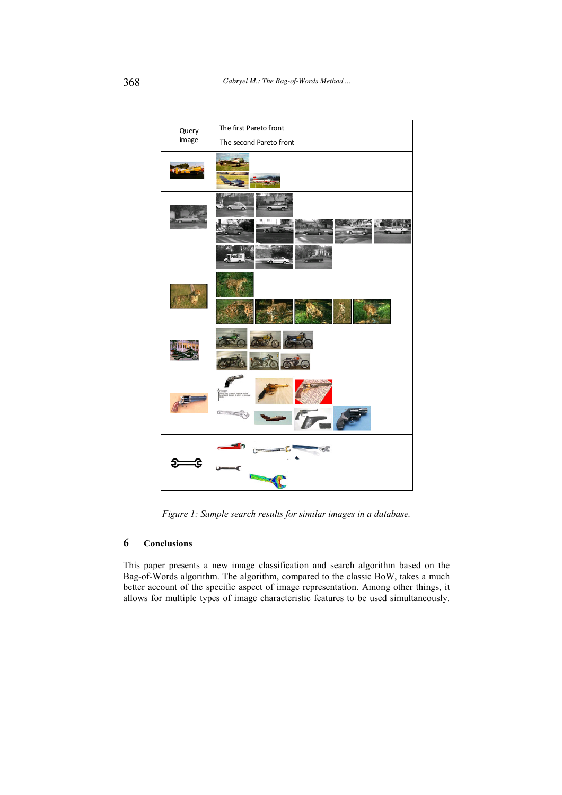

*Figure 1: Sample search results for similar images in a database.* 

# **6 Conclusions**

This paper presents a new image classification and search algorithm based on the Bag-of-Words algorithm. The algorithm, compared to the classic BoW, takes a much better account of the specific aspect of image representation. Among other things, it allows for multiple types of image characteristic features to be used simultaneously.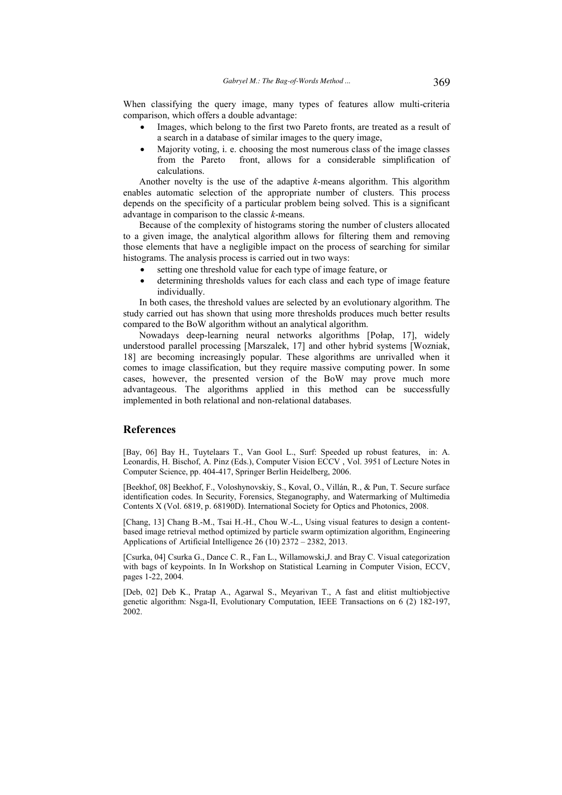When classifying the query image, many types of features allow multi-criteria comparison, which offers a double advantage:

- Images, which belong to the first two Pareto fronts, are treated as a result of a search in a database of similar images to the query image,
- Majority voting, i. e. choosing the most numerous class of the image classes from the Pareto front, allows for a considerable simplification of front, allows for a considerable simplification of calculations.

Another novelty is the use of the adaptive *k*-means algorithm. This algorithm enables automatic selection of the appropriate number of clusters. This process depends on the specificity of a particular problem being solved. This is a significant advantage in comparison to the classic *k*-means.

Because of the complexity of histograms storing the number of clusters allocated to a given image, the analytical algorithm allows for filtering them and removing those elements that have a negligible impact on the process of searching for similar histograms. The analysis process is carried out in two ways:

- setting one threshold value for each type of image feature, or
- determining thresholds values for each class and each type of image feature individually.

In both cases, the threshold values are selected by an evolutionary algorithm. The study carried out has shown that using more thresholds produces much better results compared to the BoW algorithm without an analytical algorithm.

Nowadays deep-learning neural networks algorithms [Połap, 17], widely understood parallel processing [Marszalek, 17] and other hybrid systems [Wozniak, 18] are becoming increasingly popular. These algorithms are unrivalled when it comes to image classification, but they require massive computing power. In some cases, however, the presented version of the BoW may prove much more advantageous. The algorithms applied in this method can be successfully implemented in both relational and non-relational databases.

# **References**

[Bay, 06] Bay H., Tuytelaars T., Van Gool L., Surf: Speeded up robust features, in: A. Leonardis, H. Bischof, A. Pinz (Eds.), Computer Vision ECCV , Vol. 3951 of Lecture Notes in Computer Science, pp. 404-417, Springer Berlin Heidelberg, 2006.

[Beekhof, 08] Beekhof, F., Voloshynovskiy, S., Koval, O., Villán, R., & Pun, T. Secure surface identification codes. In Security, Forensics, Steganography, and Watermarking of Multimedia Contents X (Vol. 6819, p. 68190D). International Society for Optics and Photonics, 2008.

[Chang, 13] Chang B.-M., Tsai H.-H., Chou W.-L., Using visual features to design a contentbased image retrieval method optimized by particle swarm optimization algorithm, Engineering Applications of Artificial Intelligence 26 (10) 2372 – 2382, 2013.

[Csurka, 04] Csurka G., Dance C. R., Fan L., Willamowski,J. and Bray C. Visual categorization with bags of keypoints. In In Workshop on Statistical Learning in Computer Vision, ECCV, pages 1-22, 2004.

[Deb, 02] Deb K., Pratap A., Agarwal S., Meyarivan T., A fast and elitist multiobjective genetic algorithm: Nsga-II, Evolutionary Computation, IEEE Transactions on 6 (2) 182-197, 2002.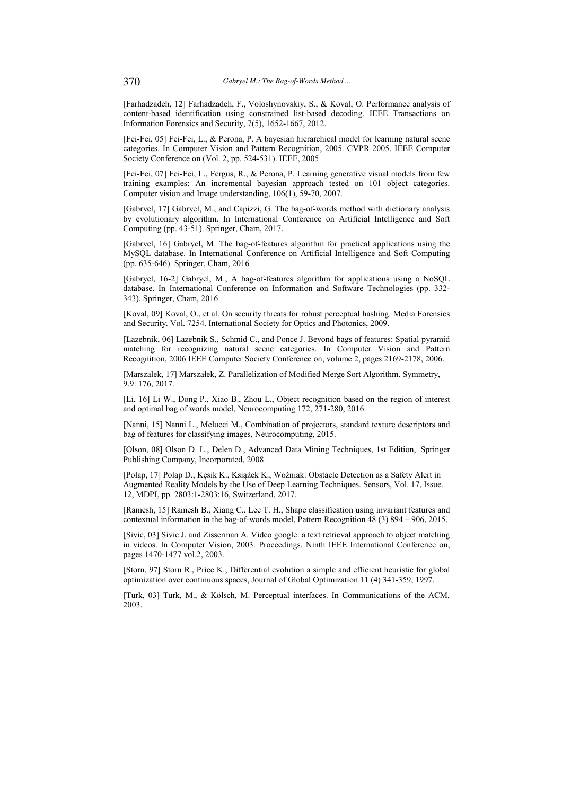[Farhadzadeh, 12] Farhadzadeh, F., Voloshynovskiy, S., & Koval, O. Performance analysis of content-based identification using constrained list-based decoding. IEEE Transactions on Information Forensics and Security, 7(5), 1652-1667, 2012.

[Fei-Fei, 05] Fei-Fei, L., & Perona, P. A bayesian hierarchical model for learning natural scene categories. In Computer Vision and Pattern Recognition, 2005. CVPR 2005. IEEE Computer Society Conference on (Vol. 2, pp. 524-531). IEEE, 2005.

[Fei-Fei, 07] Fei-Fei, L., Fergus, R., & Perona, P. Learning generative visual models from few training examples: An incremental bayesian approach tested on 101 object categories. Computer vision and Image understanding, 106(1), 59-70, 2007.

[Gabryel, 17] Gabryel, M., and Capizzi, G. The bag-of-words method with dictionary analysis by evolutionary algorithm. In International Conference on Artificial Intelligence and Soft Computing (pp. 43-51). Springer, Cham, 2017.

[Gabryel, 16] Gabryel, M. The bag-of-features algorithm for practical applications using the MySQL database. In International Conference on Artificial Intelligence and Soft Computing (pp. 635-646). Springer, Cham, 2016

[Gabryel, 16-2] Gabryel, M., A bag-of-features algorithm for applications using a NoSQL database. In International Conference on Information and Software Technologies (pp. 332- 343). Springer, Cham, 2016.

[Koval, 09] Koval, O., et al. On security threats for robust perceptual hashing. Media Forensics and Security. Vol. 7254. International Society for Optics and Photonics, 2009.

[Lazebnik, 06] Lazebnik S., Schmid C., and Ponce J. Beyond bags of features: Spatial pyramid matching for recognizing natural scene categories. In Computer Vision and Pattern Recognition, 2006 IEEE Computer Society Conference on, volume 2, pages 2169-2178, 2006.

[Marszalek, 17] Marszałek, Z. Parallelization of Modified Merge Sort Algorithm. Symmetry, 9.9: 176, 2017.

[Li, 16] Li W., Dong P., Xiao B., Zhou L., Object recognition based on the region of interest and optimal bag of words model, Neurocomputing 172, 271-280, 2016.

[Nanni, 15] Nanni L., Melucci M., Combination of projectors, standard texture descriptors and bag of features for classifying images, Neurocomputing, 2015.

[Olson, 08] Olson D. L., Delen D., Advanced Data Mining Techniques, 1st Edition, Springer Publishing Company, Incorporated, 2008.

[Połap, 17] Połap D., Kęsik K., Książek K., Woźniak: Obstacle Detection as a Safety Alert in Augmented Reality Models by the Use of Deep Learning Techniques. Sensors, Vol. 17, Issue. 12, MDPI, pp. 2803:1-2803:16, Switzerland, 2017.

[Ramesh, 15] Ramesh B., Xiang C., Lee T. H., Shape classification using invariant features and contextual information in the bag-of-words model, Pattern Recognition 48 (3) 894 – 906, 2015.

[Sivic, 03] Sivic J. and Zisserman A. Video google: a text retrieval approach to object matching in videos. In Computer Vision, 2003. Proceedings. Ninth IEEE International Conference on, pages 1470-1477 vol.2, 2003.

[Storn, 97] Storn R., Price K., Differential evolution a simple and efficient heuristic for global optimization over continuous spaces, Journal of Global Optimization 11 (4) 341-359, 1997.

[Turk, 03] Turk, M., & Kölsch, M. Perceptual interfaces. In Communications of the ACM, 2003.